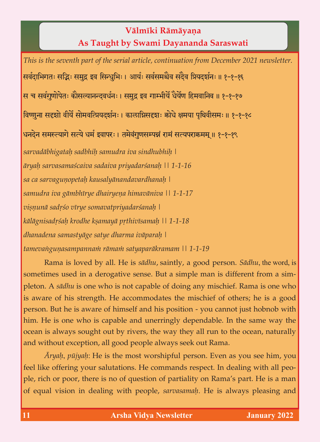## **Välméki Rämäyaëa As Taught by Swami Dayananda Saraswati**

*This is the seventh part of the serial article, continuation from December 2021 newsletter.* सर्वदाभिगतः सद्भिः समुद्र इव सिन्धुभिः । आर्यः सर्वसमश्चैव सदैव प्रियदर्शनः ॥ १-१-१६ स च सर्वगुणोपेतः कौसल्यानन्दवर्धनः । समुद्र इव गाम्भीर्ये धैर्येण हिमवानिव ॥ १-१-१७ विष्णुना सदृशो वीर्ये सोमवत्प्रियदर्शनः । कालाग्निसदृशः कोघे क्षमया पृथिवीसमः ॥ १-१-१८ धनदेन समस्त्यागे सत्ये धर्म इवापरः । तमेवंगुणसम्पन्नं रामं सत्यपराक्रमम् ॥ १-१-१९ *sarvadäbhigataù sadbhiù samudra iva sindhubhiù | äryaù sarvasamaçcaiva sadaiva priyadarçanaù || 1-1-16 sa ca sarvaguëopetaù kausalyänandavardhanaù | samudra iva gämbhérye dhairyeëa himaväniva || 1-1-17 viñëunä sadåço vérye somavatpriyadarçanaù | kälägnisadåçaù krodhe kñamayä påthivésamaù || 1-1-18 dhanadena samastyäge satye dharma iväparaù | tamevaìguëasampannaà rämaà satyaparäkramam || 1-1-19*

Rama is loved by all. He is *sädhu*, saintly, a good person. *Sädhu*, the word, is sometimes used in a derogative sense. But a simple man is different from a simpleton. A *sädhu* is one who is not capable of doing any mischief. Rama is one who is aware of his strength. He accommodates the mischief of others; he is a good person. But he is aware of himself and his position - you cannot just hobnob with him. He is one who is capable and unerringly dependable. In the same way the ocean is always sought out by rivers, the way they all run to the ocean, naturally and without exception, all good people always seek out Rama.

*Äryaù*, *püjyaù*: He is the most worshipful person. Even as you see him, you feel like offering your salutations. He commands respect. In dealing with all people, rich or poor, there is no of question of partiality on Rama's part. He is a man of equal vision in dealing with people, *sarvasamaù*. He is always pleasing and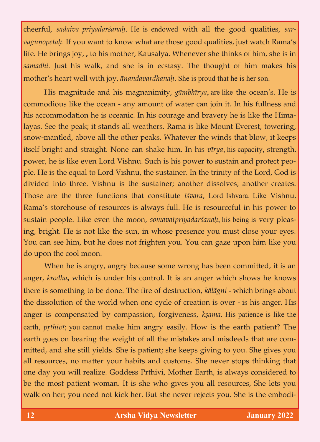cheerful, *sadaiva priyadarçanaù*. He is endowed with all the good qualities, *sarvagunopetah*. If you want to know what are those good qualities, just watch Rama's life. He brings joy, **,** to his mother, Kausalya. Whenever she thinks of him, she is in *samädhi*. Just his walk, and she is in ecstasy. The thought of him makes his mother's heart well with joy, *änandavardhanaù*. She is proud that he is her son.

His magnitude and his magnanimity, *gāmbhīrya*, are like the ocean's. He is commodious like the ocean - any amount of water can join it. In his fullness and his accommodation he is oceanic. In his courage and bravery he is like the Himalayas. See the peak; it stands all weathers. Rama is like Mount Everest, towering, snow-mantled, above all the other peaks. Whatever the winds that blow, it keeps itself bright and straight. None can shake him. In his *vīrya*, his capacity, strength, power, he is like even Lord Vishnu. Such is his power to sustain and protect people. He is the equal to Lord Vishnu, the sustainer. In the trinity of the Lord, God is divided into three. Vishnu is the sustainer; another dissolves; another creates. Those are the three functions that constitute *īśvara*, Lord Ishvara. Like Vishnu, Rama's storehouse of resources is always full. He is resourceful in his power to sustain people. Like even the moon, *somavatpriyadarçanaù*, his being is very pleasing, bright. He is not like the sun, in whose presence you must close your eyes. You can see him, but he does not frighten you. You can gaze upon him like you do upon the cool moon.

When he is angry, angry because some wrong has been committed, it is an anger, *krodha***,** which is under his control. It is an anger which shows he knows there is something to be done. The fire of destruction, *kälägni -* which brings about the dissolution of the world when one cycle of creation is over - is his anger. His anger is compensated by compassion, forgiveness, *kṣama*. His patience is like the earth, *prthivī*; you cannot make him angry easily. How is the earth patient? The earth goes on bearing the weight of all the mistakes and misdeeds that are committed, and she still yields. She is patient; she keeps giving to you. She gives you all resources, no matter your habits and customs. She never stops thinking that one day you will realize. Goddess Prthivi, Mother Earth, is always considered to be the most patient woman. It is she who gives you all resources, She lets you walk on her; you need not kick her. But she never rejects you. She is the embodi-